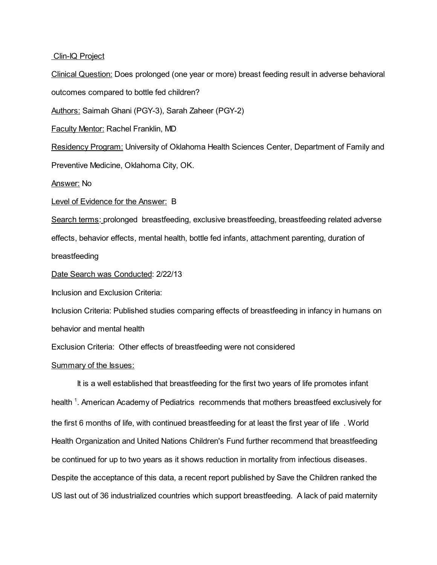### Clin-IQ Project

Clinical Question: Does prolonged (one year or more) breast feeding result in adverse behavioral outcomes compared to bottle fed children? Authors: Saimah Ghani (PGY-3), Sarah Zaheer (PGY-2) Faculty Mentor: Rachel Franklin, MD Residency Program: University of Oklahoma Health Sciences Center, Department of Family and Preventive Medicine, Oklahoma City, OK. Answer: No Level of Evidence for the Answer: B Search terms: prolonged breastfeeding, exclusive breastfeeding, breastfeeding related adverse effects, behavior effects, mental health, bottle fed infants, attachment parenting, duration of

breastfeeding

Date Search was Conducted: 2/22/13

Inclusion and Exclusion Criteria:

Inclusion Criteria: Published studies comparing effects of breastfeeding in infancy in humans on behavior and mental health

Exclusion Criteria: Other effects of breastfeeding were not considered

### Summary of the Issues:

It is a well established that breastfeeding for the first two years of life promotes infant health<sup>1</sup>. American Academy of Pediatrics recommends that mothers breastfeed exclusively for the first 6 months of life, with continued breastfeeding for at least the first year of life . World Health Organization and United Nations Children's Fund further recommend that breastfeeding be continued for up to two years as it shows reduction in mortality from infectious diseases. Despite the acceptance of this data, a recent report published by Save the Children ranked the US last out of 36 industrialized countries which support breastfeeding. A lack of paid maternity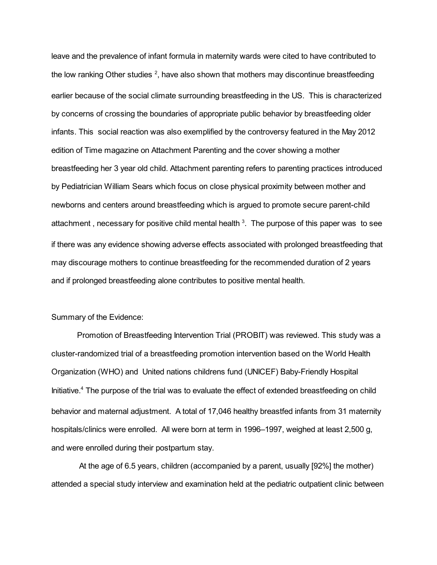leave and the prevalence of infant formula in maternity wards were cited to have contributed to the low ranking Other studies  $^2$ , have also shown that mothers may discontinue breastfeeding earlier because of the social climate surrounding breastfeeding in the US. This is characterized by concerns of crossing the boundaries of appropriate public behavior by breastfeeding older infants. This social reaction was also exemplified by the controversy featured in the May 2012 edition of Time magazine on Attachment Parenting and the cover showing a mother breastfeeding her 3 year old child. Attachment parenting refers to parenting practices introduced by Pediatrician William Sears which focus on close physical proximity between mother and newborns and centers around breastfeeding which is argued to promote secure parent-child attachment, necessary for positive child mental health  $3$ . The purpose of this paper was to see if there was any evidence showing adverse effects associated with prolonged breastfeeding that may discourage mothers to continue breastfeeding for the recommended duration of 2 years and if prolonged breastfeeding alone contributes to positive mental health.

# Summary of the Evidence:

Promotion of Breastfeeding Intervention Trial (PROBIT) was reviewed. This study was a cluster-randomized trial of a breastfeeding promotion intervention based on the World Health Organization (WHO) and United nations childrens fund (UNICEF) Baby-Friendly Hospital Initiative.<sup>4</sup> The purpose of the trial was to evaluate the effect of extended breastfeeding on child behavior and maternal adjustment. A total of 17,046 healthy breastfed infants from 31 maternity hospitals/clinics were enrolled. All were born at term in 1996–1997, weighed at least 2,500 g, and were enrolled during their postpartum stay.

At the age of 6.5 years, children (accompanied by a parent, usually [92%] the mother) attended a special study interview and examination held at the pediatric outpatient clinic between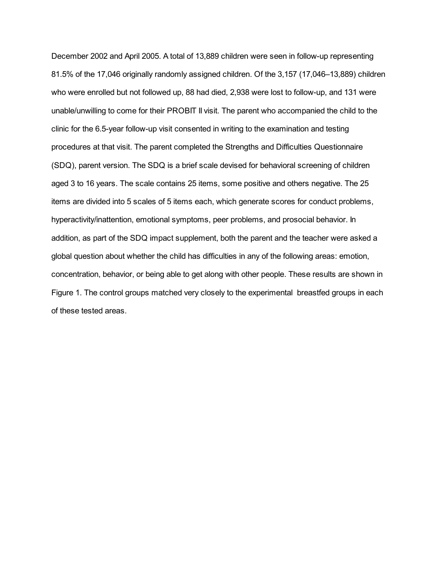December 2002 and April 2005. A total of 13,889 children were seen in follow-up representing 81.5% of the 17,046 originally randomly assigned children. Of the 3,157 (17,046–13,889) children who were enrolled but not followed up, 88 had died, 2,938 were lost to follow-up, and 131 were unable/unwilling to come for their PROBIT II visit. The parent who accompanied the child to the clinic for the 6.5-year follow-up visit consented in writing to the examination and testing procedures at that visit. The parent completed the Strengths and Difficulties Questionnaire (SDQ), parent version. The SDQ is a brief scale devised for behavioral screening of children aged 3 to 16 years. The scale contains 25 items, some positive and others negative. The 25 items are divided into 5 scales of 5 items each, which generate scores for conduct problems, hyperactivity/inattention, emotional symptoms, peer problems, and prosocial behavior. In addition, as part of the SDQ impact supplement, both the parent and the teacher were asked a global question about whether the child has difficulties in any of the following areas: emotion, concentration, behavior, or being able to get along with other people. These results are shown in Figure 1. The control groups matched very closely to the experimental breastfed groups in each of these tested areas.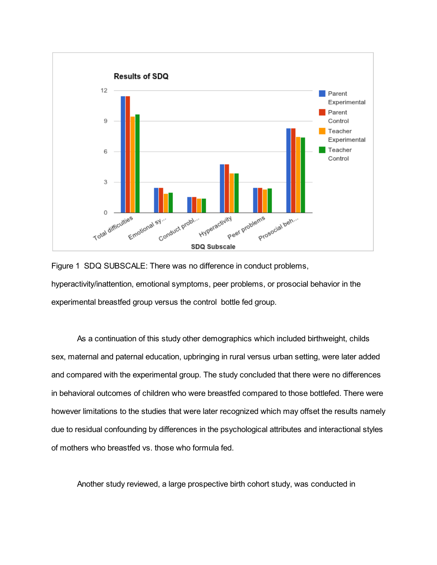



As a continuation of this study other demographics which included birthweight, childs sex, maternal and paternal education, upbringing in rural versus urban setting, were later added and compared with the experimental group. The study concluded that there were no differences in behavioral outcomes of children who were breastfed compared to those bottlefed. There were however limitations to the studies that were later recognized which may offset the results namely due to residual confounding by differences in the psychological attributes and interactional styles of mothers who breastfed vs. those who formula fed.

Another study reviewed, a large prospective birth cohort study, was conducted in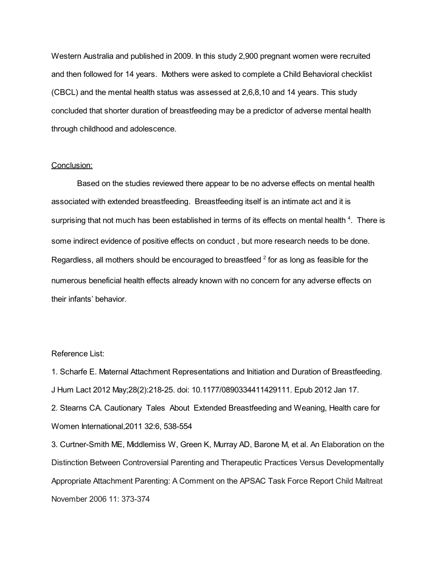Western Australia and published in 2009. In this study 2,900 pregnant women were recruited and then followed for 14 years. Mothers were asked to complete a Child Behavioral checklist (CBCL) and the mental health status was assessed at 2,6,8,10 and 14 years. This study concluded that shorter duration of breastfeeding may be a predictor of adverse mental health through childhood and adolescence.

## Conclusion:

Based on the studies reviewed there appear to be no adverse effects on mental health associated with extended breastfeeding. Breastfeeding itself is an intimate act and it is surprising that not much has been established in terms of its effects on mental health<sup>4</sup>. There is some indirect evidence of positive effects on conduct , but more research needs to be done. Regardless, all mothers should be encouraged to breastfeed  $2$  for as long as feasible for the numerous beneficial health effects already known with no concern for any adverse effects on their infants' behavior.

## Reference List:

1. Scharfe E. Maternal Attachment Representations and Initiation and Duration of Breastfeeding. J Hum Lact 2012 May;28(2):218-25. doi: 10.1177/0890334411429111. Epub 2012 Jan 17.

2. Stearns CA. Cautionary Tales About Extended Breastfeeding and Weaning, Health care for Women International,2011 32:6, 538-554

3. Curtner-Smith ME, Middlemiss W, Green K, Murray AD, Barone M, et al. An Elaboration on the Distinction Between Controversial Parenting and Therapeutic Practices Versus Developmentally Appropriate Attachment Parenting: A Comment on the APSAC Task Force Report Child Maltreat November 2006 11: 373-374